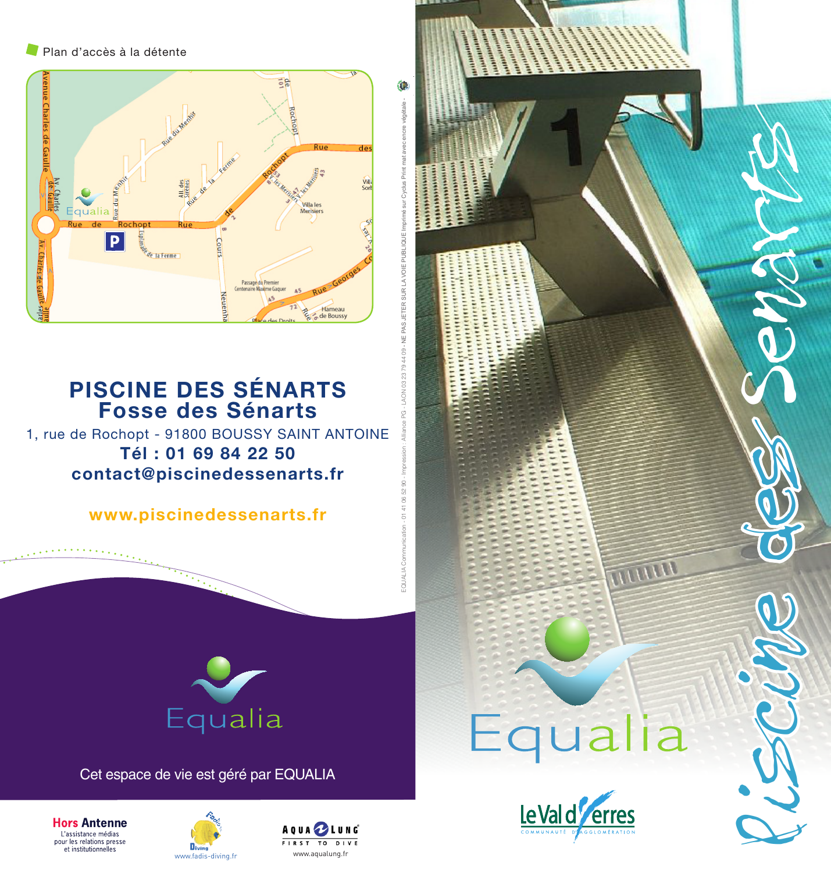Plan d'accès à la détente



## **PISCINE DES SÉNARTS Fosse des Sénarts**

1, rue de Rochopt - 91800 BOUSSY SAINT ANTOINE **Tél : 01 69 84 22 50 contact@piscinedessenarts.fr**

**www.piscinedessenarts.fr**



Cet espace de vie est géré par EQUALIA







EQUALIA Communication - 01 41 06 52 90 - Impression : Alliance PG - LAON 03 23 79 44 09 - NE PAS JETER SUR LA VOIE PUBLIQUE Imprimé sur Cyclus Print mat avec encre végétale -

ē

Щ

PAS JETER SUR LAVOIE PUBLIQUE I



TTUTTU